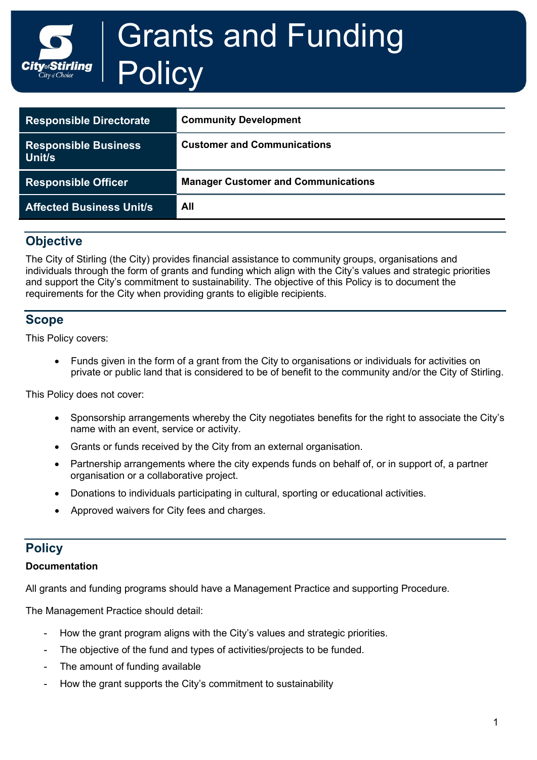

| <b>Responsible Directorate</b>               | <b>Community Development</b>               |
|----------------------------------------------|--------------------------------------------|
| <b>Responsible Business</b><br><b>Unit/s</b> | <b>Customer and Communications</b>         |
| <b>Responsible Officer</b>                   | <b>Manager Customer and Communications</b> |
| <b>Affected Business Unit/s</b>              | All                                        |

# **Objective**

The City of Stirling (the City) provides financial assistance to community groups, organisations and individuals through the form of grants and funding which align with the City's values and strategic priorities and support the City's commitment to sustainability. The objective of this Policy is to document the requirements for the City when providing grants to eligible recipients.

## **Scope**

This Policy covers:

• Funds given in the form of a grant from the City to organisations or individuals for activities on private or public land that is considered to be of benefit to the community and/or the City of Stirling.

This Policy does not cover:

- Sponsorship arrangements whereby the City negotiates benefits for the right to associate the City's name with an event, service or activity.
- Grants or funds received by the City from an external organisation.
- Partnership arrangements where the city expends funds on behalf of, or in support of, a partner organisation or a collaborative project.
- Donations to individuals participating in cultural, sporting or educational activities.
- Approved waivers for City fees and charges.

# **Policy**

## **Documentation**

All grants and funding programs should have a Management Practice and supporting Procedure.

The Management Practice should detail:

- How the grant program aligns with the City's values and strategic priorities.
- The objective of the fund and types of activities/projects to be funded.
- The amount of funding available
- How the grant supports the City's commitment to sustainability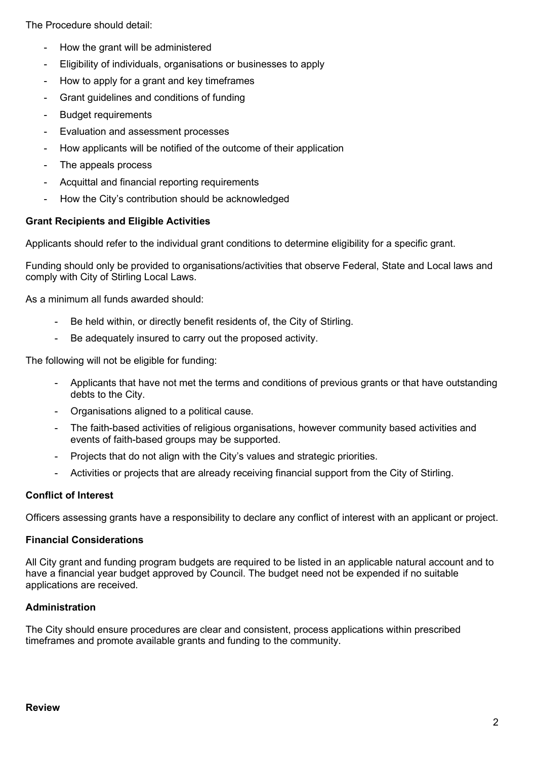The Procedure should detail:

- How the grant will be administered
- Eligibility of individuals, organisations or businesses to apply
- How to apply for a grant and key timeframes
- Grant guidelines and conditions of funding
- **Budget requirements**
- Evaluation and assessment processes
- How applicants will be notified of the outcome of their application
- The appeals process
- Acquittal and financial reporting requirements
- How the City's contribution should be acknowledged

#### **Grant Recipients and Eligible Activities**

Applicants should refer to the individual grant conditions to determine eligibility for a specific grant.

Funding should only be provided to organisations/activities that observe Federal, State and Local laws and comply with City of Stirling Local Laws.

As a minimum all funds awarded should:

- Be held within, or directly benefit residents of, the City of Stirling.
- Be adequately insured to carry out the proposed activity.

The following will not be eligible for funding:

- Applicants that have not met the terms and conditions of previous grants or that have outstanding debts to the City.
- Organisations aligned to a political cause.
- The faith-based activities of religious organisations, however community based activities and events of faith-based groups may be supported.
- Projects that do not align with the City's values and strategic priorities.
- Activities or projects that are already receiving financial support from the City of Stirling.

## **Conflict of Interest**

Officers assessing grants have a responsibility to declare any conflict of interest with an applicant or project.

#### **Financial Considerations**

All City grant and funding program budgets are required to be listed in an applicable natural account and to have a financial year budget approved by Council. The budget need not be expended if no suitable applications are received.

## **Administration**

The City should ensure procedures are clear and consistent, process applications within prescribed timeframes and promote available grants and funding to the community.